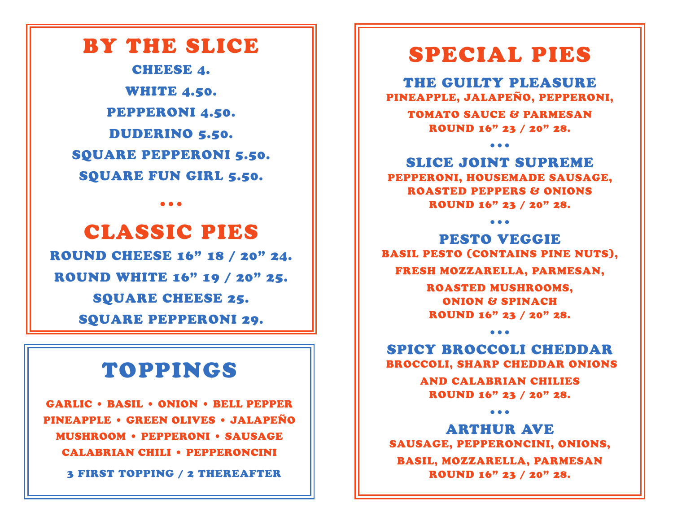## BY THE SLICE

CHEESE 4. WHITE 4.50. PEPPERONI 4.50. DUDERINO 5.50. SQUARE PEPPERONI 5.50. SQUARE FUN GIRL 5.50.

•••

CLASSIC PIES ROUND CHEESE 16" 18 / 20" 24. ROUND WHITE 16" 19 / 20" 25. SQUARE CHEESE 25. SQUARE PEPPERONI 29.

## TOPPINGS

GARLIC • BASIL • ONION • BELL PEPPER PINEAPPLE • GREEN OLIVES • JALAPEÑO MUSHROOM • PEPPERONI • SAUSAGE CALABRIAN CHILI • PEPPERONCINI

3 FIRST TOPPING / 2 THEREAFTER

## SPECIAL PIES

THE GUILTY PLEASURE PINEAPPLE, JALAPEÑO, PEPPERONI,

TOMATO SAUCE & PARMESAN ROUND 16" 23 / 20" 28.

•••

SLICE JOINT SUPREME PEPPERONI, HOUSEMADE SAUSAGE, ROASTED PEPPERS & ONIONS ROUND 16" 23 / 20" 28.

•••

PESTO VEGGIE BASIL PESTO (CONTAINS PINE NUTS), FRESH MOZZARELLA, PARMESAN,

> ROASTED MUSHROOMS, ONION & SPINACH ROUND 16" 23 / 20" 28.

SPICY BROCCOLI CHEDDAR BROCCOLI, SHARP CHEDDAR ONIONS

•••

AND CALABRIAN CHILIES ROUND 16" 23 / 20" 28.

•••

ARTHUR AVE SAUSAGE, PEPPERONCINI, ONIONS, BASIL, MOZZARELLA, PARMESAN ROUND 16" 23 / 20" 28.